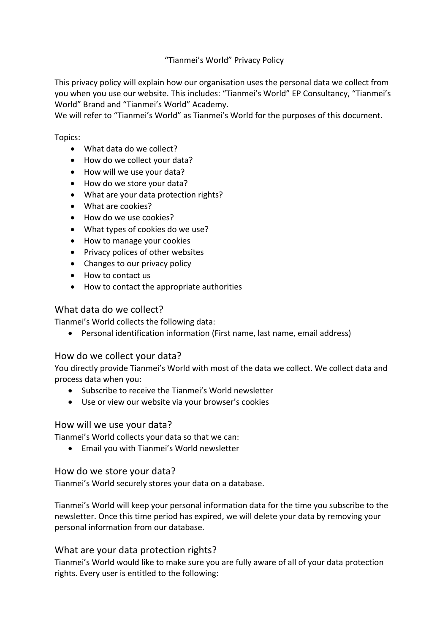# "Tianmei's World" Privacy Policy

This privacy policy will explain how our organisation uses the personal data we collect from you when you use our website. This includes: "Tianmei's World" EP Consultancy, "Tianmei's World" Brand and "Tianmei's World" Academy.

We will refer to "Tianmei's World" as Tianmei's World for the purposes of this document.

#### Topics:

- What data do we collect?
- How do we collect your data?
- How will we use your data?
- How do we store your data?
- What are your data protection rights?
- What are cookies?
- How do we use cookies?
- $\bullet$  What types of cookies do we use?
- How to manage your cookies
- Privacy polices of other websites
- Changes to our privacy policy
- How to contact us
- How to contact the appropriate authorities

# What data do we collect?

Tianmei's World collects the following data:

• Personal identification information (First name, last name, email address)

### How do we collect your data?

You directly provide Tianmei's World with most of the data we collect. We collect data and process data when you:

- Subscribe to receive the Tianmei's World newsletter
- Use or view our website via your browser's cookies

### How will we use your data?

Tianmei's World collects your data so that we can:

• Email you with Tianmei's World newsletter

### How do we store your data?

Tianmei's World securely stores your data on a database.

Tianmei's World will keep your personal information data for the time you subscribe to the newsletter. Once this time period has expired, we will delete your data by removing your personal information from our database.

# What are your data protection rights?

Tianmei's World would like to make sure you are fully aware of all of your data protection rights. Every user is entitled to the following: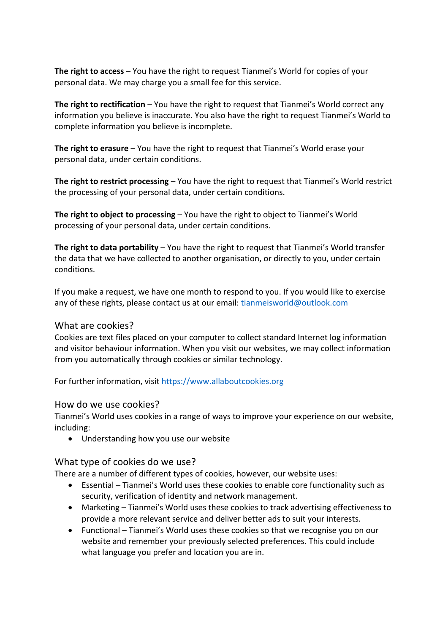**The right to access** – You have the right to request Tianmei's World for copies of your personal data. We may charge you a small fee for this service.

**The right to rectification** – You have the right to request that Tianmei's World correct any information you believe is inaccurate. You also have the right to request Tianmei's World to complete information you believe is incomplete.

**The right to erasure** – You have the right to request that Tianmei's World erase your personal data, under certain conditions.

**The right to restrict processing** – You have the right to request that Tianmei's World restrict the processing of your personal data, under certain conditions.

**The right to object to processing** – You have the right to object to Tianmei's World processing of your personal data, under certain conditions.

**The right to data portability** – You have the right to request that Tianmei's World transfer the data that we have collected to another organisation, or directly to you, under certain conditions.

If you make a request, we have one month to respond to you. If you would like to exercise any of these rights, please contact us at our email: tianmeisworld@outlook.com

### What are cookies?

Cookies are text files placed on your computer to collect standard Internet log information and visitor behaviour information. When you visit our websites, we may collect information from you automatically through cookies or similar technology.

For further information, visit https://www.allaboutcookies.org

### How do we use cookies?

Tianmei's World uses cookies in a range of ways to improve your experience on our website, including:

• Understanding how you use our website

### What type of cookies do we use?

There are a number of different types of cookies, however, our website uses:

- Essential Tianmei's World uses these cookies to enable core functionality such as security, verification of identity and network management.
- Marketing Tianmei's World uses these cookies to track advertising effectiveness to provide a more relevant service and deliver better ads to suit your interests.
- Functional Tianmei's World uses these cookies so that we recognise you on our website and remember your previously selected preferences. This could include what language you prefer and location you are in.